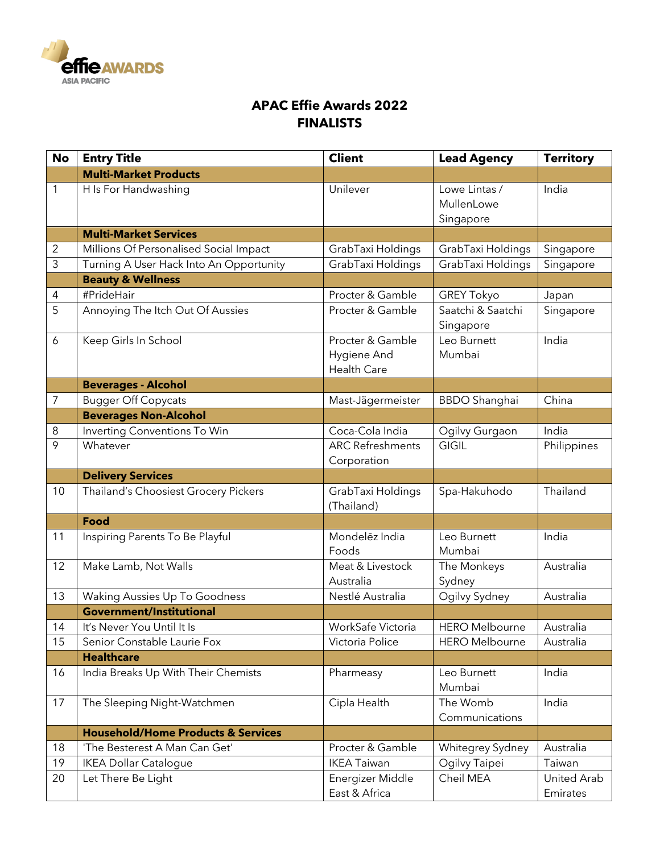

## **APAC Effie Awards 2022 FINALISTS**

| <b>No</b>      | <b>Entry Title</b>                            | <b>Client</b>                                         | <b>Lead Agency</b>                       | <b>Territory</b>        |
|----------------|-----------------------------------------------|-------------------------------------------------------|------------------------------------------|-------------------------|
|                | <b>Multi-Market Products</b>                  |                                                       |                                          |                         |
| 1              | H Is For Handwashing                          | Unilever                                              | Lowe Lintas /<br>MullenLowe<br>Singapore | India                   |
|                | <b>Multi-Market Services</b>                  |                                                       |                                          |                         |
| $\sqrt{2}$     | Millions Of Personalised Social Impact        | GrabTaxi Holdings                                     | GrabTaxi Holdings                        | Singapore               |
| $\overline{3}$ | Turning A User Hack Into An Opportunity       | GrabTaxi Holdings                                     | GrabTaxi Holdings                        | Singapore               |
|                | <b>Beauty &amp; Wellness</b>                  |                                                       |                                          |                         |
| $\overline{4}$ | #PrideHair                                    | Procter & Gamble                                      | <b>GREY Tokyo</b>                        | Japan                   |
| 5              | Annoying The Itch Out Of Aussies              | Procter & Gamble                                      | Saatchi & Saatchi<br>Singapore           | Singapore               |
| 6              | Keep Girls In School                          | Procter & Gamble<br>Hygiene And<br><b>Health Care</b> | Leo Burnett<br>Mumbai                    | India                   |
|                | <b>Beverages - Alcohol</b>                    |                                                       |                                          |                         |
| $\overline{7}$ | <b>Bugger Off Copycats</b>                    | Mast-Jägermeister                                     | <b>BBDO</b> Shanghai                     | China                   |
|                | <b>Beverages Non-Alcohol</b>                  |                                                       |                                          |                         |
| 8              | Inverting Conventions To Win                  | Coca-Cola India                                       | Ogilvy Gurgaon                           | India                   |
| 9              | Whatever                                      | <b>ARC Refreshments</b><br>Corporation                | <b>GIGIL</b>                             | Philippines             |
|                | <b>Delivery Services</b>                      |                                                       |                                          |                         |
| 10             | Thailand's Choosiest Grocery Pickers          | GrabTaxi Holdings<br>(Thailand)                       | Spa-Hakuhodo                             | Thailand                |
|                | <b>Food</b>                                   |                                                       |                                          |                         |
| 11             | Inspiring Parents To Be Playful               | Mondelēz India<br>Foods                               | Leo Burnett<br>Mumbai                    | India                   |
| 12             | Make Lamb, Not Walls                          | Meat & Livestock<br>Australia                         | The Monkeys<br>Sydney                    | Australia               |
| 13             | Waking Aussies Up To Goodness                 | Nestlé Australia                                      | Ogilvy Sydney                            | Australia               |
|                | <b>Government/Institutional</b>               |                                                       |                                          |                         |
| 14             | It's Never You Until It Is                    | WorkSafe Victoria                                     | <b>HERO Melbourne</b>                    | Australia               |
| 15             | Senior Constable Laurie Fox                   | Victoria Police                                       | <b>HERO Melbourne</b>                    | Australia               |
|                | <b>Healthcare</b>                             |                                                       |                                          |                         |
| 16             | India Breaks Up With Their Chemists           | Pharmeasy                                             | Leo Burnett<br>Mumbai                    | India                   |
| 17             | The Sleeping Night-Watchmen                   | Cipla Health                                          | The Womb<br>Communications               | India                   |
|                | <b>Household/Home Products &amp; Services</b> |                                                       |                                          |                         |
| 18             | 'The Besterest A Man Can Get'                 | Procter & Gamble                                      | Whitegrey Sydney                         | Australia               |
| 19             | <b>IKEA Dollar Catalogue</b>                  | <b>IKEA Taiwan</b>                                    | Ogilvy Taipei                            | Taiwan                  |
| 20             | Let There Be Light                            | Energizer Middle<br>East & Africa                     | Cheil MEA                                | United Arab<br>Emirates |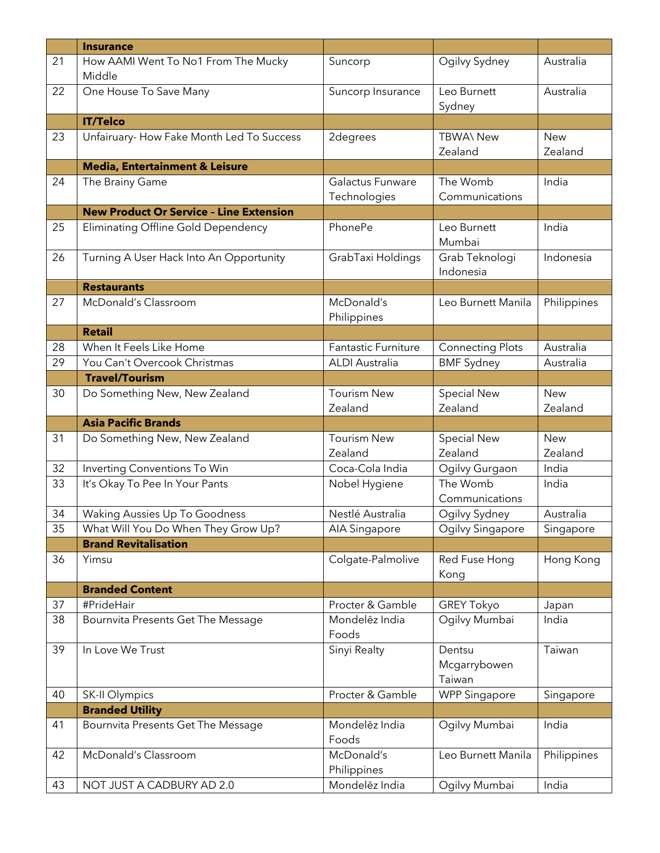|    | <b>Insurance</b>                               |                                  |                                  |                       |
|----|------------------------------------------------|----------------------------------|----------------------------------|-----------------------|
| 21 | How AAMI Went To No1 From The Mucky<br>Middle  | Suncorp                          | Ogilvy Sydney                    | Australia             |
| 22 | One House To Save Many                         | Suncorp Insurance                | Leo Burnett<br>Sydney            | Australia             |
|    | <b>IT/Telco</b>                                |                                  |                                  |                       |
| 23 | Unfairuary- How Fake Month Led To Success      | 2degrees                         | <b>TBWA\ New</b><br>Zealand      | <b>New</b><br>Zealand |
|    | <b>Media, Entertainment &amp; Leisure</b>      |                                  |                                  |                       |
| 24 | The Brainy Game                                | Galactus Funware<br>Technologies | The Womb<br>Communications       | India                 |
|    | <b>New Product Or Service - Line Extension</b> |                                  |                                  |                       |
| 25 | Eliminating Offline Gold Dependency            | PhonePe                          | Leo Burnett<br>Mumbai            | India                 |
| 26 | Turning A User Hack Into An Opportunity        | GrabTaxi Holdings                | Grab Teknologi<br>Indonesia      | Indonesia             |
|    | <b>Restaurants</b>                             |                                  |                                  |                       |
| 27 | McDonald's Classroom                           | McDonald's<br>Philippines        | Leo Burnett Manila               | Philippines           |
|    | <b>Retail</b>                                  |                                  |                                  |                       |
| 28 | When It Feels Like Home                        | <b>Fantastic Furniture</b>       | <b>Connecting Plots</b>          | Australia             |
| 29 | You Can't Overcook Christmas                   | <b>ALDI</b> Australia            | <b>BMF Sydney</b>                | Australia             |
|    | <b>Travel/Tourism</b>                          |                                  |                                  |                       |
| 30 | Do Something New, New Zealand                  | <b>Tourism New</b><br>Zealand    | <b>Special New</b><br>Zealand    | <b>New</b><br>Zealand |
|    | <b>Asia Pacific Brands</b>                     |                                  |                                  |                       |
| 31 | Do Something New, New Zealand                  | <b>Tourism New</b><br>Zealand    | <b>Special New</b><br>Zealand    | <b>New</b><br>Zealand |
| 32 | Inverting Conventions To Win                   | Coca-Cola India                  | Ogilvy Gurgaon                   | India                 |
| 33 | It's Okay To Pee In Your Pants                 | Nobel Hygiene                    | The Womb<br>Communications       | India                 |
| 34 | Waking Aussies Up To Goodness                  | Nestlé Australia                 | Ogilvy Sydney                    | Australia             |
| 35 | What Will You Do When They Grow Up?            | AIA Singapore                    | Ogilvy Singapore                 | Singapore             |
|    | <b>Brand Revitalisation</b>                    |                                  |                                  |                       |
| 36 | Yimsu                                          | Colgate-Palmolive                | Red Fuse Hong<br>Kong            | Hong Kong             |
|    | <b>Branded Content</b>                         |                                  |                                  |                       |
| 37 | #PrideHair                                     | Procter & Gamble                 | <b>GREY Tokyo</b>                | Japan                 |
| 38 | Bournvita Presents Get The Message             | Mondelēz India<br>Foods          | Ogilvy Mumbai                    | India                 |
| 39 | In Love We Trust                               | Sinyi Realty                     | Dentsu<br>Mcgarrybowen<br>Taiwan | Taiwan                |
| 40 | SK-II Olympics                                 | Procter & Gamble                 | <b>WPP Singapore</b>             | Singapore             |
|    | <b>Branded Utility</b>                         |                                  |                                  |                       |
| 41 | Bournvita Presents Get The Message             | Mondelēz India<br>Foods          | Ogilvy Mumbai                    | India                 |
| 42 | McDonald's Classroom                           | McDonald's<br>Philippines        | Leo Burnett Manila               | Philippines           |
| 43 | NOT JUST A CADBURY AD 2.0                      | Mondelez India                   | Ogilvy Mumbai                    | India                 |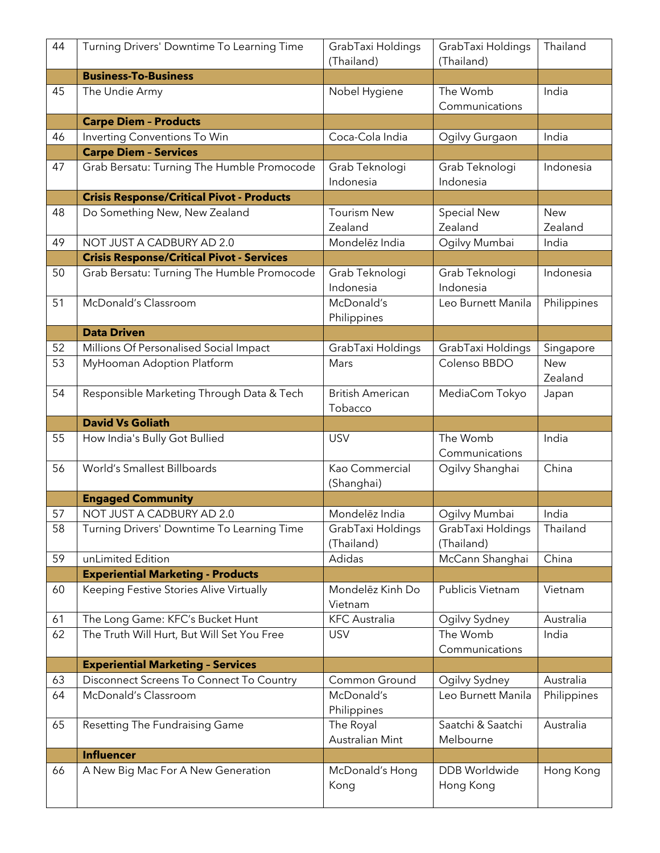| 44 | Turning Drivers' Downtime To Learning Time       | GrabTaxi Holdings<br>(Thailand)    | GrabTaxi Holdings<br>(Thailand) | Thailand              |
|----|--------------------------------------------------|------------------------------------|---------------------------------|-----------------------|
|    | <b>Business-To-Business</b>                      |                                    |                                 |                       |
| 45 | The Undie Army                                   | Nobel Hygiene                      | The Womb<br>Communications      | India                 |
|    | <b>Carpe Diem - Products</b>                     |                                    |                                 |                       |
| 46 | Inverting Conventions To Win                     | Coca-Cola India                    | Ogilvy Gurgaon                  | India                 |
|    | <b>Carpe Diem - Services</b>                     |                                    |                                 |                       |
| 47 | Grab Bersatu: Turning The Humble Promocode       | Grab Teknologi<br>Indonesia        | Grab Teknologi<br>Indonesia     | Indonesia             |
|    | <b>Crisis Response/Critical Pivot - Products</b> |                                    |                                 |                       |
| 48 | Do Something New, New Zealand                    | <b>Tourism New</b><br>Zealand      | <b>Special New</b><br>Zealand   | <b>New</b><br>Zealand |
| 49 | NOT JUST A CADBURY AD 2.0                        | Mondelez India                     | Ogilvy Mumbai                   | India                 |
|    | <b>Crisis Response/Critical Pivot - Services</b> |                                    |                                 |                       |
| 50 | Grab Bersatu: Turning The Humble Promocode       | Grab Teknologi<br>Indonesia        | Grab Teknologi<br>Indonesia     | Indonesia             |
| 51 | McDonald's Classroom                             | McDonald's<br>Philippines          | Leo Burnett Manila              | Philippines           |
|    | <b>Data Driven</b>                               |                                    |                                 |                       |
| 52 | Millions Of Personalised Social Impact           | GrabTaxi Holdings                  | GrabTaxi Holdings               | Singapore             |
| 53 | MyHooman Adoption Platform                       | Mars                               | Colenso BBDO                    | <b>New</b><br>Zealand |
| 54 | Responsible Marketing Through Data & Tech        | <b>British American</b><br>Tobacco | MediaCom Tokyo                  | Japan                 |
|    | <b>David Vs Goliath</b>                          |                                    |                                 |                       |
| 55 | How India's Bully Got Bullied                    | <b>USV</b>                         | The Womb                        | India                 |
|    |                                                  |                                    | Communications                  |                       |
| 56 | World's Smallest Billboards                      | Kao Commercial<br>(Shanghai)       | Ogilvy Shanghai                 | China                 |
|    | <b>Engaged Community</b>                         |                                    |                                 |                       |
| 57 | NOT JUST A CADBURY AD 2.0                        | Mondelēz India                     | Ogilvy Mumbai                   | India                 |
| 58 | Turning Drivers' Downtime To Learning Time       | GrabTaxi Holdings<br>(Thailand)    | GrabTaxi Holdings<br>(Thailand) | Thailand              |
| 59 | unLimited Edition                                | Adidas                             | McCann Shanghai                 | China                 |
|    | <b>Experiential Marketing - Products</b>         |                                    |                                 |                       |
| 60 | Keeping Festive Stories Alive Virtually          | Mondelez Kinh Do<br>Vietnam        | Publicis Vietnam                | Vietnam               |
| 61 | The Long Game: KFC's Bucket Hunt                 | <b>KFC</b> Australia               | Ogilvy Sydney                   | Australia             |
| 62 | The Truth Will Hurt, But Will Set You Free       | <b>USV</b>                         | The Womb<br>Communications      | India                 |
|    | <b>Experiential Marketing - Services</b>         |                                    |                                 |                       |
| 63 | Disconnect Screens To Connect To Country         | Common Ground                      | Ogilvy Sydney                   | Australia             |
| 64 | McDonald's Classroom                             | McDonald's<br>Philippines          | Leo Burnett Manila              | Philippines           |
| 65 | Resetting The Fundraising Game                   | The Royal<br>Australian Mint       | Saatchi & Saatchi<br>Melbourne  | Australia             |
|    | <b>Influencer</b>                                |                                    |                                 |                       |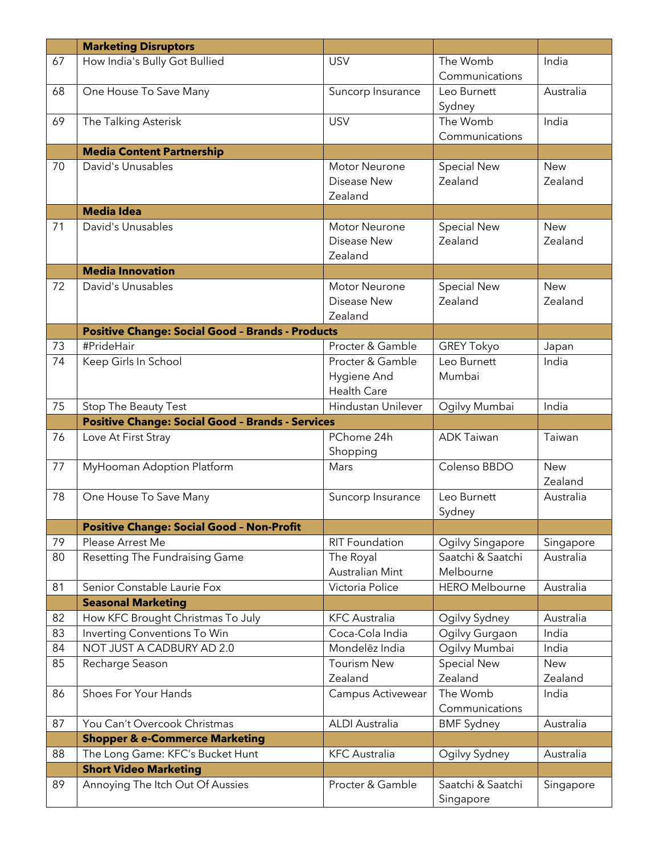|    | <b>Marketing Disruptors</b>                             |                       |                                |            |
|----|---------------------------------------------------------|-----------------------|--------------------------------|------------|
| 67 | How India's Bully Got Bullied                           | <b>USV</b>            | The Womb                       | India      |
|    |                                                         |                       | Communications                 |            |
| 68 | One House To Save Many                                  | Suncorp Insurance     | Leo Burnett                    | Australia  |
|    |                                                         |                       | Sydney                         |            |
| 69 | The Talking Asterisk                                    | <b>USV</b>            | The Womb                       | India      |
|    |                                                         |                       | Communications                 |            |
|    | <b>Media Content Partnership</b>                        |                       |                                |            |
| 70 | David's Unusables                                       | <b>Motor Neurone</b>  | <b>Special New</b>             | <b>New</b> |
|    |                                                         | Disease New           | Zealand                        | Zealand    |
|    |                                                         | Zealand               |                                |            |
|    | <b>Media Idea</b>                                       |                       |                                |            |
| 71 | David's Unusables                                       | Motor Neurone         | <b>Special New</b>             | <b>New</b> |
|    |                                                         | Disease New           | Zealand                        | Zealand    |
|    |                                                         | Zealand               |                                |            |
|    | <b>Media Innovation</b>                                 |                       |                                |            |
| 72 | David's Unusables                                       | <b>Motor Neurone</b>  | <b>Special New</b>             | <b>New</b> |
|    |                                                         | Disease New           | Zealand                        | Zealand    |
|    |                                                         | Zealand               |                                |            |
|    | <b>Positive Change: Social Good - Brands - Products</b> |                       |                                |            |
| 73 | #PrideHair                                              | Procter & Gamble      | <b>GREY Tokyo</b>              | Japan      |
| 74 | Keep Girls In School                                    | Procter & Gamble      | Leo Burnett                    | India      |
|    |                                                         | Hygiene And           | Mumbai                         |            |
|    |                                                         | Health Care           |                                |            |
| 75 | Stop The Beauty Test                                    | Hindustan Unilever    | Ogilvy Mumbai                  | India      |
|    | <b>Positive Change: Social Good - Brands - Services</b> |                       |                                |            |
|    |                                                         |                       |                                |            |
| 76 | Love At First Stray                                     | PChome 24h            | <b>ADK Taiwan</b>              | Taiwan     |
|    |                                                         | Shopping              |                                |            |
| 77 | MyHooman Adoption Platform                              | Mars                  | Colenso BBDO                   | <b>New</b> |
|    |                                                         |                       |                                | Zealand    |
| 78 | One House To Save Many                                  | Suncorp Insurance     | Leo Burnett                    | Australia  |
|    |                                                         |                       | Sydney                         |            |
|    | <b>Positive Change: Social Good - Non-Profit</b>        |                       |                                |            |
| 79 | Please Arrest Me                                        | RIT Foundation        | Ogilvy Singapore               | Singapore  |
| 80 | Resetting The Fundraising Game                          | The Royal             | Saatchi & Saatchi              | Australia  |
|    |                                                         | Australian Mint       | Melbourne                      |            |
| 81 | Senior Constable Laurie Fox                             | Victoria Police       | <b>HERO Melbourne</b>          | Australia  |
|    | <b>Seasonal Marketing</b>                               |                       |                                |            |
| 82 | How KFC Brought Christmas To July                       | <b>KFC</b> Australia  | Ogilvy Sydney                  | Australia  |
| 83 | Inverting Conventions To Win                            | Coca-Cola India       | Ogilvy Gurgaon                 | India      |
| 84 | NOT JUST A CADBURY AD 2.0                               | Mondelez India        | Ogilvy Mumbai                  | India      |
| 85 | Recharge Season                                         | <b>Tourism New</b>    | <b>Special New</b>             | <b>New</b> |
|    |                                                         | Zealand               | Zealand                        | Zealand    |
| 86 | Shoes For Your Hands                                    | Campus Activewear     | The Womb                       | India      |
|    |                                                         |                       | Communications                 |            |
| 87 | You Can't Overcook Christmas                            | <b>ALDI Australia</b> | <b>BMF Sydney</b>              | Australia  |
|    | <b>Shopper &amp; e-Commerce Marketing</b>               |                       |                                |            |
| 88 | The Long Game: KFC's Bucket Hunt                        | <b>KFC</b> Australia  | Ogilvy Sydney                  | Australia  |
|    | <b>Short Video Marketing</b>                            |                       |                                |            |
| 89 | Annoying The Itch Out Of Aussies                        | Procter & Gamble      | Saatchi & Saatchi<br>Singapore | Singapore  |